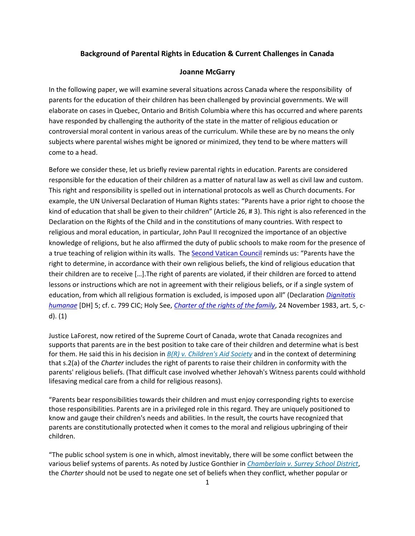## **Background of Parental Rights in Education & Current Challenges in Canada**

## **Joanne McGarry**

In the following paper, we will examine several situations across Canada where the responsibility of parents for the education of their children has been challenged by provincial governments. We will elaborate on cases in Quebec, Ontario and British Columbia where this has occurred and where parents have responded by challenging the authority of the state in the matter of religious education or controversial moral content in various areas of the curriculum. While these are by no means the only subjects where parental wishes might be ignored or minimized, they tend to be where matters will come to a head.

Before we consider these, let us briefly review parental rights in education. Parents are considered responsible for the education of their children as a matter of natural law as well as civil law and custom. This right and responsibility is spelled out in international protocols as well as Church documents. For example, the UN Universal Declaration of Human Rights states: "Parents have a prior right to choose the kind of education that shall be given to their children" (Article 26, # 3). This right is also referenced in the Declaration on the Rights of the Child and in the constitutions of many countries. With respect to religious and moral education, in particular, John Paul II recognized the importance of an objective knowledge of religions, but he also affirmed the duty of public schools to make room for the presence of a true teaching of religion within its walls. Th[e Second Vatican Council](http://www.vatican.va/archive/hist_councils/ii_vatican_council/index.htm) reminds us: "Parents have the right to determine, in accordance with their own religious beliefs, the kind of religious education that their children are to receive […].The right of parents are violated, if their children are forced to attend lessons or instructions which are not in agreement with their religious beliefs, or if a single system of education, from which all religious formation is excluded, is imposed upon all" (Declaration *[Dignitatis](http://www.vatican.va/archive/hist_councils/ii_vatican_council/documents/vat-ii_decl_19651207_dignitatis-humanae_en.html)  [humanae](http://www.vatican.va/archive/hist_councils/ii_vatican_council/documents/vat-ii_decl_19651207_dignitatis-humanae_en.html)* [DH] 5; cf. c. 799 CIC; Holy See, *[Charter of the rights of the family](http://www.vatican.va/roman_curia/pontifical_councils/family/documents/rc_pc_family_doc_19831022_family-rights_en.html)*, 24 November 1983, art. 5, cd). (1)

Justice LaForest, now retired of the Supreme Court of Canada, wrote that Canada recognizes and supports that parents are in the best position to take care of their children and determine what is best for them. He said this in his decision in *[B\(R\) v. Children's Aid Society](http://www.canlii.org/en/ca/scc/doc/1995/1995canlii115/1995canlii115.pdf)* and in the context of determining that s.2(a) of the *Charter* includes the right of parents to raise their children in conformity with the parents' religious beliefs. (That difficult case involved whether Jehovah's Witness parents could withhold lifesaving medical care from a child for religious reasons).

"Parents bear responsibilities towards their children and must enjoy corresponding rights to exercise those responsibilities. Parents are in a privileged role in this regard. They are uniquely positioned to know and gauge their children's needs and abilities. In the result, the courts have recognized that parents are constitutionally protected when it comes to the moral and religious upbringing of their children.

"The public school system is one in which, almost inevitably, there will be some conflict between the various belief systems of parents. As noted by Justice Gonthier in *[Chamberlain v. Surrey School District](http://scc.lexum.org/en/2002/2002scc86/2002scc86.html)*, the *Charter* should not be used to negate one set of beliefs when they conflict, whether popular or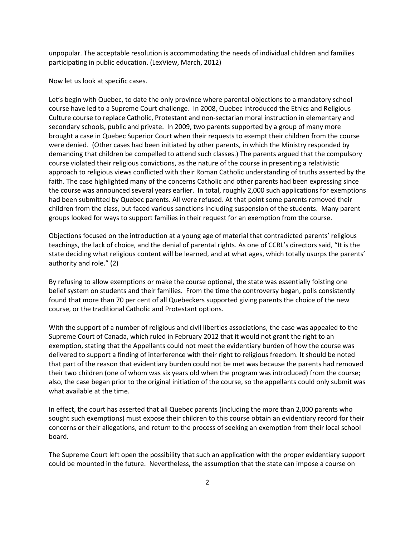unpopular. The acceptable resolution is accommodating the needs of individual children and families participating in public education. (LexView, March, 2012)

Now let us look at specific cases.

Let's begin with Quebec, to date the only province where parental objections to a mandatory school course have led to a Supreme Court challenge. In 2008, Quebec introduced the Ethics and Religious Culture course to replace Catholic, Protestant and non-sectarian moral instruction in elementary and secondary schools, public and private. In 2009, two parents supported by a group of many more brought a case in Quebec Superior Court when their requests to exempt their children from the course were denied. (Other cases had been initiated by other parents, in which the Ministry responded by demanding that children be compelled to attend such classes.) The parents argued that the compulsory course violated their religious convictions, as the nature of the course in presenting a relativistic approach to religious views conflicted with their Roman Catholic understanding of truths asserted by the faith. The case highlighted many of the concerns Catholic and other parents had been expressing since the course was announced several years earlier. In total, roughly 2,000 such applications for exemptions had been submitted by Quebec parents. All were refused. At that point some parents removed their children from the class, but faced various sanctions including suspension of the students. Many parent groups looked for ways to support families in their request for an exemption from the course.

Objections focused on the introduction at a young age of material that contradicted parents' religious teachings, the lack of choice, and the denial of parental rights. As one of CCRL's directors said, "It is the state deciding what religious content will be learned, and at what ages, which totally usurps the parents' authority and role." (2)

By refusing to allow exemptions or make the course optional, the state was essentially foisting one belief system on students and their families. From the time the controversy began, polls consistently found that more than 70 per cent of all Quebeckers supported giving parents the choice of the new course, or the traditional Catholic and Protestant options.

With the support of a number of religious and civil liberties associations, the case was appealed to the Supreme Court of Canada, which ruled in February 2012 that it would not grant the right to an exemption, stating that the Appellants could not meet the evidentiary burden of how the course was delivered to support a finding of interference with their right to religious freedom. It should be noted that part of the reason that evidentiary burden could not be met was because the parents had removed their two children (one of whom was six years old when the program was introduced) from the course; also, the case began prior to the original initiation of the course, so the appellants could only submit was what available at the time.

In effect, the court has asserted that all Quebec parents (including the more than 2,000 parents who sought such exemptions) must expose their children to this course obtain an evidentiary record for their concerns or their allegations, and return to the process of seeking an exemption from their local school board.

The Supreme Court left open the possibility that such an application with the proper evidentiary support could be mounted in the future. Nevertheless, the assumption that the state can impose a course on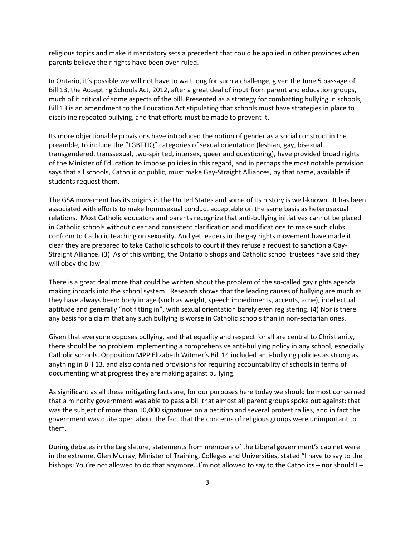religious topics and make it mandatory sets a precedent that could be applied in other provinces when parents believe their rights have been over-ruled.

In Ontario, it's possible we will not have to wait long for such a challenge, given the June 5 passage of Bill 13, the Accepting Schools Act, 2012, after a great deal of input from parent and education groups, much of it critical of some aspects of the bill. Presented as a strategy for combatting bullying in schools, Bill 13 is an amendment to the Education Act stipulating that schools must have strategies in place to discipline repeated bullying, and that efforts must be made to prevent it.

Its more objectionable provisions have introduced the notion of gender as a social construct in the preamble, to include the "LGBTTIQ" categories of sexual orientation (lesbian, gay, bisexual, transgendered, transsexual, two-spirited, intersex, queer and questioning), have provided broad rights of the Minister of Education to impose policies in this regard, and in perhaps the most notable provision says that all schools, Catholic or public, must make Gay-Straight Alliances, by that name, available if students request them.

The GSA movement has its origins in the United States and some of its history is well-known. It has been associated with efforts to make homosexual conduct acceptable on the same basis as heterosexual relations. Most Catholic educators and parents recognize that anti-bullying initiatives cannot be placed in Catholic schools without clear and consistent clarification and modifications to make such clubs conform to Catholic teaching on sexuality. And yet leaders in the gay rights movement have made it clear they are prepared to take Catholic schools to court if they refuse a request to sanction a Gay-Straight Alliance. (3) As of this writing, the Ontario bishops and Catholic school trustees have said they will obey the law.

There is a great deal more that could be written about the problem of the so-called gay rights agenda making inroads into the school system. Research shows that the leading causes of bullying are much as they have always been: body image (such as weight, speech impediments, accents, acne), intellectual aptitude and generally "not fitting in", with sexual orientation barely even registering. (4) Nor is there any basis for a claim that any such bullying is worse in Catholic schools than in non-sectarian ones.

Given that everyone opposes bullying, and that equality and respect for all are central to Christianity, there should be no problem implementing a comprehensive anti-bullying policy in any school, especially Catholic schools. Opposition MPP Elizabeth Witmer's Bill 14 included anti-bullying policies as strong as anything in Bill 13, and also contained provisions for requiring accountability of schools in terms of documenting what progress they are making against bullying.

As significant as all these mitigating facts are, for our purposes here today we should be most concerned that a minority government was able to pass a bill that almost all parent groups spoke out against; that was the subject of more than 10,000 signatures on a petition and several protest rallies, and in fact the government was quite open about the fact that the concerns of religious groups were unimportant to them.

During debates in the Legislature, statements from members of the Liberal government's cabinet were in the extreme. Glen Murray, Minister of Training, Colleges and Universities, stated "I have to say to the bishops: You're not allowed to do that anymore...I'm not allowed to say to the Catholics - nor should I -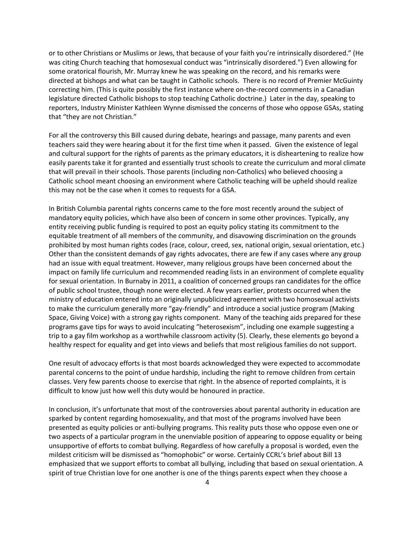or to other Christians or Muslims or Jews, that because of your faith you're intrinsically disordered." (He was citing Church teaching that homosexual conduct was "intrinsically disordered.") Even allowing for some oratorical flourish, Mr. Murray knew he was speaking on the record, and his remarks were directed at bishops and what can be taught in Catholic schools. There is no record of Premier McGuinty correcting him. (This is quite possibly the first instance where on-the-record comments in a Canadian legislature directed Catholic bishops to stop teaching Catholic doctrine.) Later in the day, speaking to reporters, Industry Minister Kathleen Wynne dismissed the concerns of those who oppose GSAs, stating that "they are not Christian."

For all the controversy this Bill caused during debate, hearings and passage, many parents and even teachers said they were hearing about it for the first time when it passed. Given the existence of legal and cultural support for the rights of parents as the primary educators, it is disheartening to realize how easily parents take it for granted and essentially trust schools to create the curriculum and moral climate that will prevail in their schools. Those parents (including non-Catholics) who believed choosing a Catholic school meant choosing an environment where Catholic teaching will be upheld should realize this may not be the case when it comes to requests for a GSA.

In British Columbia parental rights concerns came to the fore most recently around the subject of mandatory equity policies, which have also been of concern in some other provinces. Typically, any entity receiving public funding is required to post an equity policy stating its commitment to the equitable treatment of all members of the community, and disavowing discrimination on the grounds prohibited by most human rights codes (race, colour, creed, sex, national origin, sexual orientation, etc.) Other than the consistent demands of gay rights advocates, there are few if any cases where any group had an issue with equal treatment. However, many religious groups have been concerned about the impact on family life curriculum and recommended reading lists in an environment of complete equality for sexual orientation. In Burnaby in 2011, a coalition of concerned groups ran candidates for the office of public school trustee, though none were elected. A few years earlier, protests occurred when the ministry of education entered into an originally unpublicized agreement with two homosexual activists to make the curriculum generally more "gay-friendly" and introduce a social justice program (Making Space, Giving Voice) with a strong gay rights component. Many of the teaching aids prepared for these programs gave tips for ways to avoid inculcating "heterosexism", including one example suggesting a trip to a gay film workshop as a worthwhile classroom activity (5). Clearly, these elements go beyond a healthy respect for equality and get into views and beliefs that most religious families do not support.

One result of advocacy efforts is that most boards acknowledged they were expected to accommodate parental concerns to the point of undue hardship, including the right to remove children from certain classes. Very few parents choose to exercise that right. In the absence of reported complaints, it is difficult to know just how well this duty would be honoured in practice.

In conclusion, it's unfortunate that most of the controversies about parental authority in education are sparked by content regarding homosexuality, and that most of the programs involved have been presented as equity policies or anti-bullying programs. This reality puts those who oppose even one or two aspects of a particular program in the unenviable position of appearing to oppose equality or being unsupportive of efforts to combat bullying. Regardless of how carefully a proposal is worded, even the mildest criticism will be dismissed as "homophobic" or worse. Certainly CCRL's brief about Bill 13 emphasized that we support efforts to combat all bullying, including that based on sexual orientation. A spirit of true Christian love for one another is one of the things parents expect when they choose a